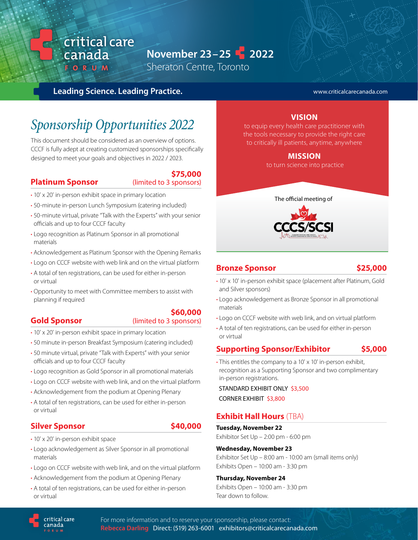## **November 23 – 25 2022**

Sheraton Centre, Toronto

#### **Leading Science. Leading Practice.**

critical care

canada FORUM

#### www.criticalcarecanada.com

# *Sponsorship Opportunities 2022*

This document should be considered as an overview of options. CCCF is fully adept at creating customized sponsorships specifically designed to meet your goals and objectives in 2022 / 2023.

#### **Platinum Sponsor** (limited to 3 sponsors)

**\$75,000** 

- 10' x 20' in-person exhibit space in primary location
- 50-minute in-person Lunch Symposium (catering included)
- 50-minute virtual, private "Talk with the Experts" with your senior officials and up to four CCCF faculty
- Logo recognition as Platinum Sponsor in all promotional materials
- Acknowledgement as Platinum Sponsor with the Opening Remarks
- Logo on CCCF website with web link and on the virtual platform
- A total of ten registrations, can be used for either in-person or virtual
- Opportunity to meet with Committee members to assist with planning if required

#### **\$60,000**

#### **Gold Sponsor** (limited to 3 sponsors)

- 10' x 20' in-person exhibit space in primary location
- 50 minute in-person Breakfast Symposium (catering included)
- 50 minute virtual, private "Talk with Experts" with your senior officials and up to four CCCF faculty
- Logo recognition as Gold Sponsor in all promotional materials
- Logo on CCCF website with web link, and on the virtual platform
- Acknowledgement from the podium at Opening Plenary
- A total of ten registrations, can be used for either in-person or virtual

#### **Silver Sponsor \$40,000**

- 10' x 20' in-person exhibit space
- Logo acknowledgement as Silver Sponsor in all promotional materials
- Logo on CCCF website with web link, and on the virtual platform
- Acknowledgement from the podium at Opening Plenary
- A total of ten registrations, can be used for either in-person or virtual

#### **VISION**

to equip every health care practitioner with the tools necessary to provide the right care to critically ill patients, anytime, anywhere

#### **MISSION**

to turn science into practice



#### **Bronze Sponsor \$25,000**

- 10' x 10' in-person exhibit space (placement after Platinum, Gold and Silver sponsors)
- Logo acknowledgement as Bronze Sponsor in all promotional materials
- Logo on CCCF website with web link, and on virtual platform
- A total of ten registrations, can be used for either in-person or virtual

#### **Supporting Sponsor/Exhibitor \$5,000**

• This entitles the company to a 10' x 10' in-person exhibit, recognition as a Supporting Sponsor and two complimentary in-person registrations.

 STANDARD EXHIBIT ONLY \$3,500 CORNER EXHIBIT \$3,800

#### **Exhibit Hall Hours** (TBA)

**Tuesday, November 22** Exhibitor Set Up – 2:00 pm - 6:00 pm

#### **Wednesday, November 23**

Exhibitor Set Up – 8:00 am - 10:00 am (small items only) Exhibits Open – 10:00 am - 3:30 pm

#### **Thursday, November 24**

Exhibits Open – 10:00 am - 3:30 pm Tear down to follow.

critical care canada

For more information and to reserve your sponsorship, please contact: **Rebecca Darling** Direct: (519) 263-6001 exhibitors@criticalcarecanada.com

- 
- 
- 
-